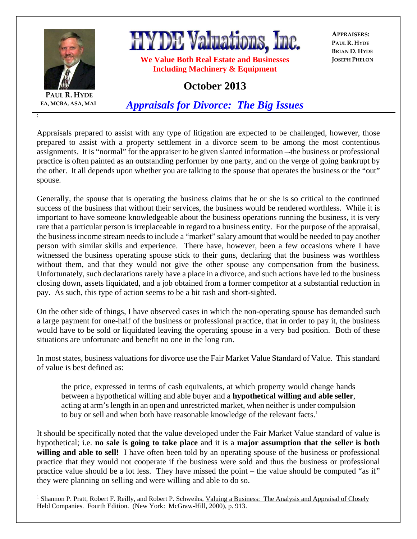

**HYDE Valuations, Inc.** 

**We Value Both Real Estate and Businesses Including Machinery & Equipment** 

**APPRAISERS: PAUL R. HYDE BRIAN D. HYDE JOSEPH PHELON**

## **October 2013**

**PAUL R. HYDE EA, MCBA, ASA, MAI**

:

 $\overline{a}$ 

*Appraisals for Divorce: The Big Issues*

Appraisals prepared to assist with any type of litigation are expected to be challenged, however, those prepared to assist with a property settlement in a divorce seem to be among the most contentious assignments. It is "normal" for the appraiser to be given slanted information – the business or professional practice is often painted as an outstanding performer by one party, and on the verge of going bankrupt by the other. It all depends upon whether you are talking to the spouse that operates the business or the "out" spouse.

Generally, the spouse that is operating the business claims that he or she is so critical to the continued success of the business that without their services, the business would be rendered worthless. While it is important to have someone knowledgeable about the business operations running the business, it is very rare that a particular person is irreplaceable in regard to a business entity. For the purpose of the appraisal, the business income stream needs to include a "market" salary amount that would be needed to pay another person with similar skills and experience. There have, however, been a few occasions where I have witnessed the business operating spouse stick to their guns, declaring that the business was worthless without them, and that they would not give the other spouse any compensation from the business. Unfortunately, such declarations rarely have a place in a divorce, and such actions have led to the business closing down, assets liquidated, and a job obtained from a former competitor at a substantial reduction in pay. As such, this type of action seems to be a bit rash and short-sighted.

On the other side of things, I have observed cases in which the non-operating spouse has demanded such a large payment for one-half of the business or professional practice, that in order to pay it, the business would have to be sold or liquidated leaving the operating spouse in a very bad position. Both of these situations are unfortunate and benefit no one in the long run.

In most states, business valuations for divorce use the Fair Market Value Standard of Value. This standard of value is best defined as:

the price, expressed in terms of cash equivalents, at which property would change hands between a hypothetical willing and able buyer and a **hypothetical willing and able seller**, acting at arm's length in an open and unrestricted market, when neither is under compulsion to buy or sell and when both have reasonable knowledge of the relevant facts.<sup>1</sup>

It should be specifically noted that the value developed under the Fair Market Value standard of value is hypothetical; i.e. **no sale is going to take place** and it is a **major assumption that the seller is both willing and able to sell!** I have often been told by an operating spouse of the business or professional practice that they would not cooperate if the business were sold and thus the business or professional practice value should be a lot less. They have missed the point – the value should be computed "as if" they were planning on selling and were willing and able to do so.

<sup>&</sup>lt;sup>1</sup> Shannon P. Pratt, Robert F. Reilly, and Robert P. Schweihs, Valuing a Business: The Analysis and Appraisal of Closely Held Companies. Fourth Edition. (New York: McGraw-Hill, 2000), p. 913.